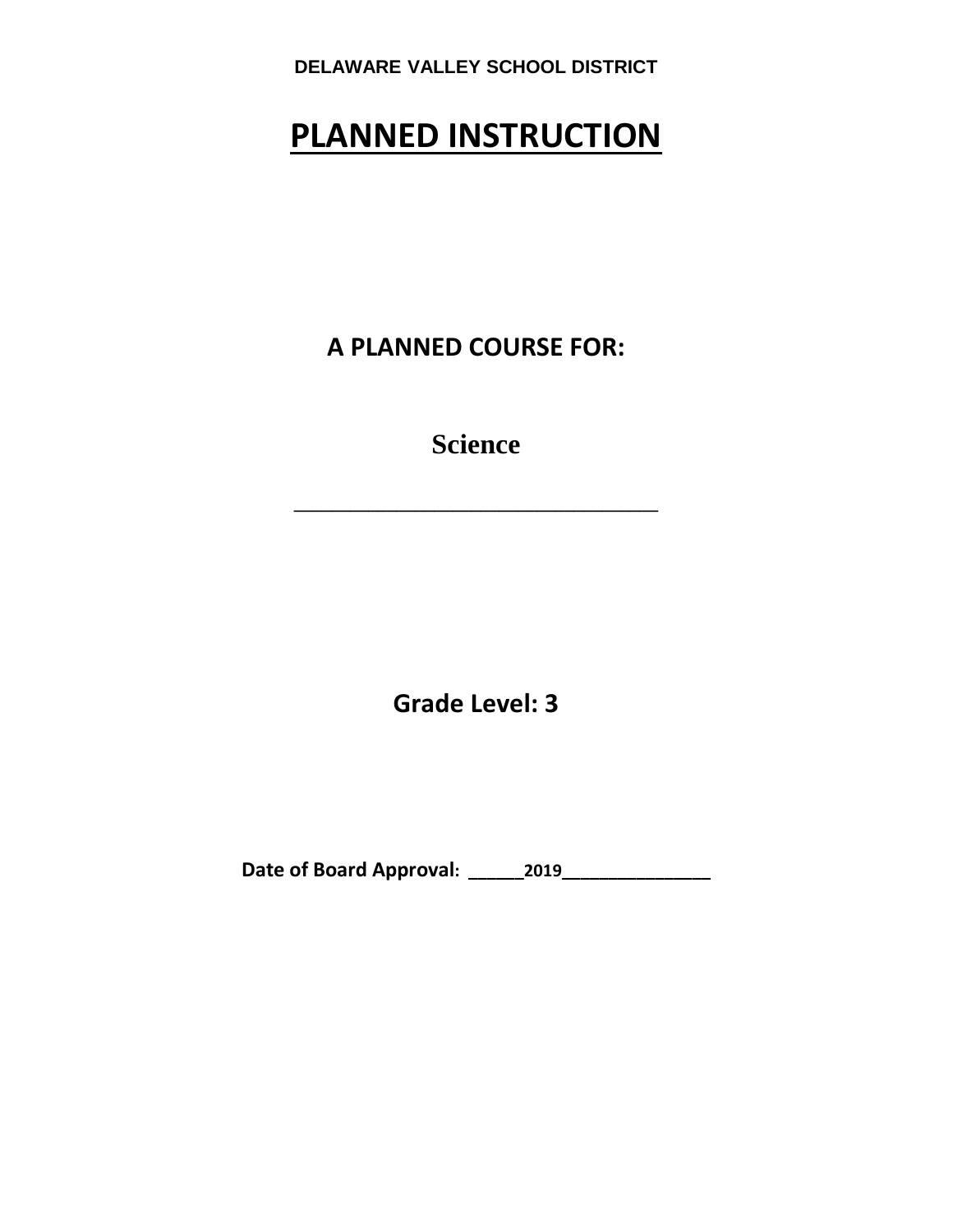# **PLANNED INSTRUCTION**

**A PLANNED COURSE FOR:**

**Science**

**\_\_\_\_\_\_\_\_\_\_\_\_\_\_\_\_\_\_\_\_\_\_\_\_\_\_\_\_\_\_\_\_\_\_\_\_\_\_\_**

**Grade Level: 3**

**Date of Board Approval: \_\_\_\_\_\_2019\_\_\_\_\_\_\_\_\_\_\_\_\_\_\_\_**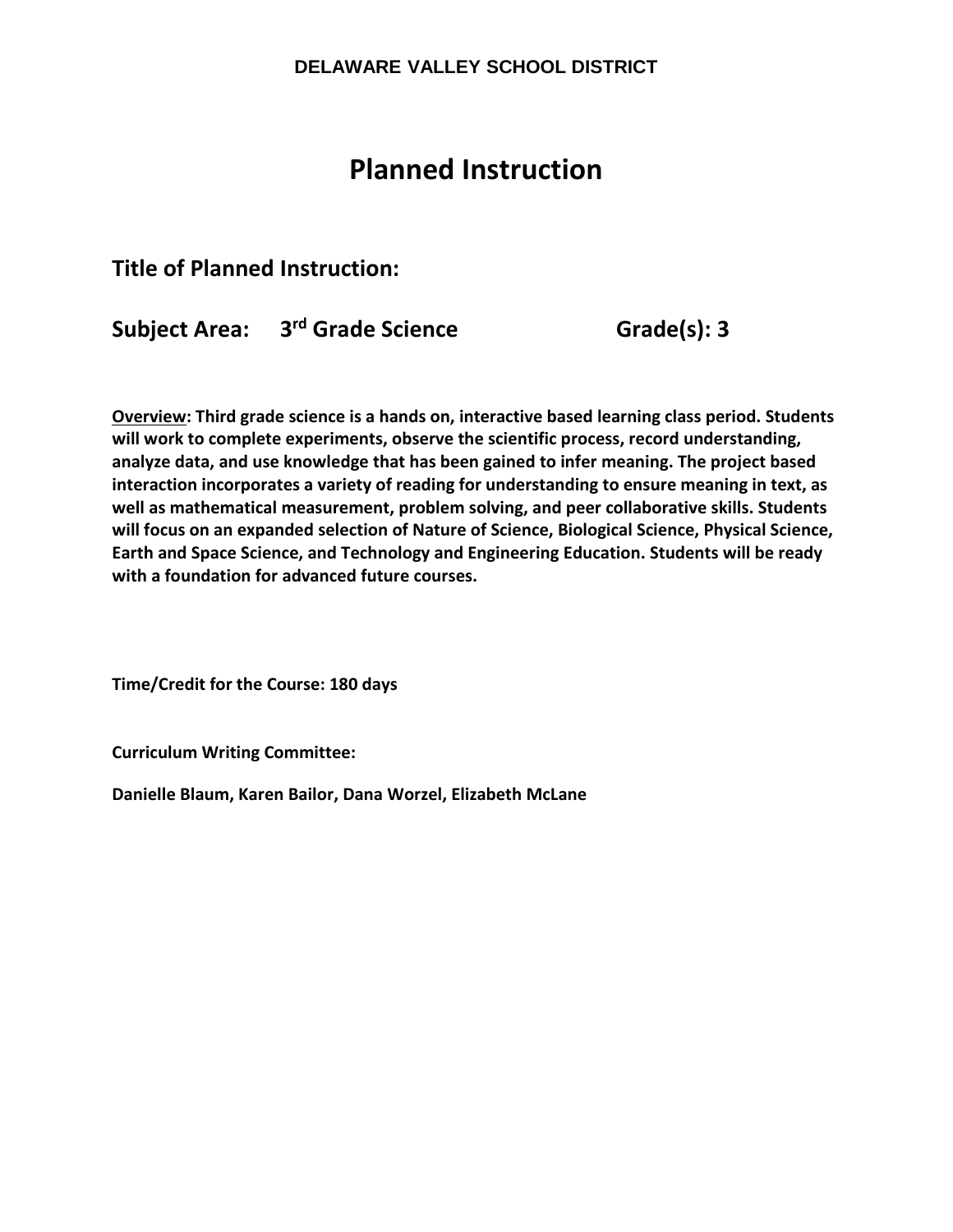# **Planned Instruction**

**Title of Planned Instruction:** 

**Subject Area: 3rd Grade Science Grade(s): 3**

**Overview: Third grade science is a hands on, interactive based learning class period. Students will work to complete experiments, observe the scientific process, record understanding, analyze data, and use knowledge that has been gained to infer meaning. The project based interaction incorporates a variety of reading for understanding to ensure meaning in text, as well as mathematical measurement, problem solving, and peer collaborative skills. Students will focus on an expanded selection of Nature of Science, Biological Science, Physical Science, Earth and Space Science, and Technology and Engineering Education. Students will be ready with a foundation for advanced future courses.**

**Time/Credit for the Course: 180 days**

**Curriculum Writing Committee:**

**Danielle Blaum, Karen Bailor, Dana Worzel, Elizabeth McLane**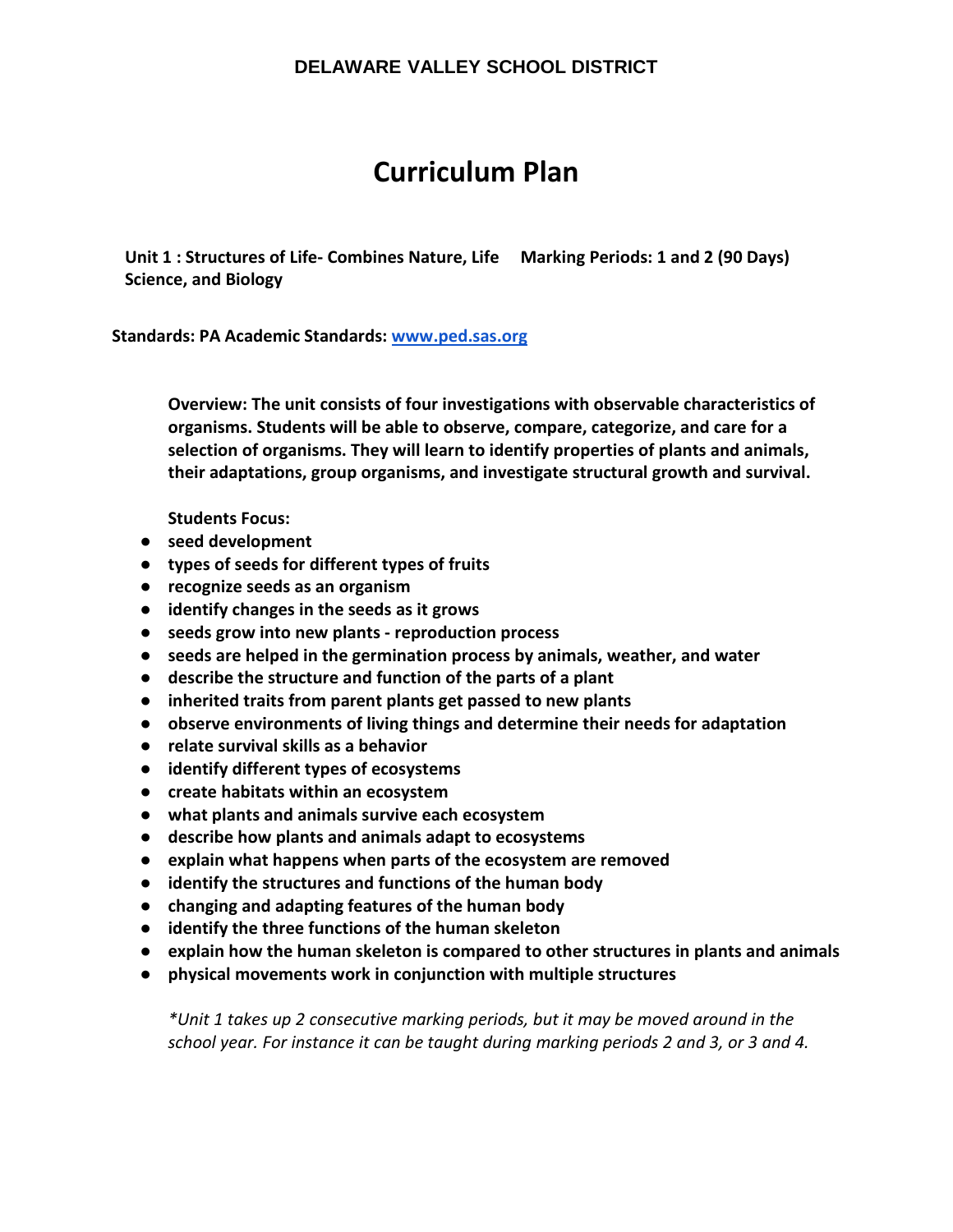# **Curriculum Plan**

**Unit 1 : Structures of Life- Combines Nature, Life Marking Periods: 1 and 2 (90 Days) Science, and Biology**

**Standards: PA Academic Standards: [www.ped.sas.org](http://www.ped.sas.org/)**

**Overview: The unit consists of four investigations with observable characteristics of organisms. Students will be able to observe, compare, categorize, and care for a selection of organisms. They will learn to identify properties of plants and animals, their adaptations, group organisms, and investigate structural growth and survival.** 

**Students Focus:**

- **seed development**
- **types of seeds for different types of fruits**
- **recognize seeds as an organism**
- **identify changes in the seeds as it grows**
- **seeds grow into new plants - reproduction process**
- **seeds are helped in the germination process by animals, weather, and water**
- **describe the structure and function of the parts of a plant**
- **inherited traits from parent plants get passed to new plants**
- **observe environments of living things and determine their needs for adaptation**
- **relate survival skills as a behavior**
- **identify different types of ecosystems**
- **create habitats within an ecosystem**
- **what plants and animals survive each ecosystem**
- **describe how plants and animals adapt to ecosystems**
- **explain what happens when parts of the ecosystem are removed**
- **identify the structures and functions of the human body**
- **changing and adapting features of the human body**
- **identify the three functions of the human skeleton**
- **explain how the human skeleton is compared to other structures in plants and animals**
- **physical movements work in conjunction with multiple structures**

*\*Unit 1 takes up 2 consecutive marking periods, but it may be moved around in the school year. For instance it can be taught during marking periods 2 and 3, or 3 and 4.*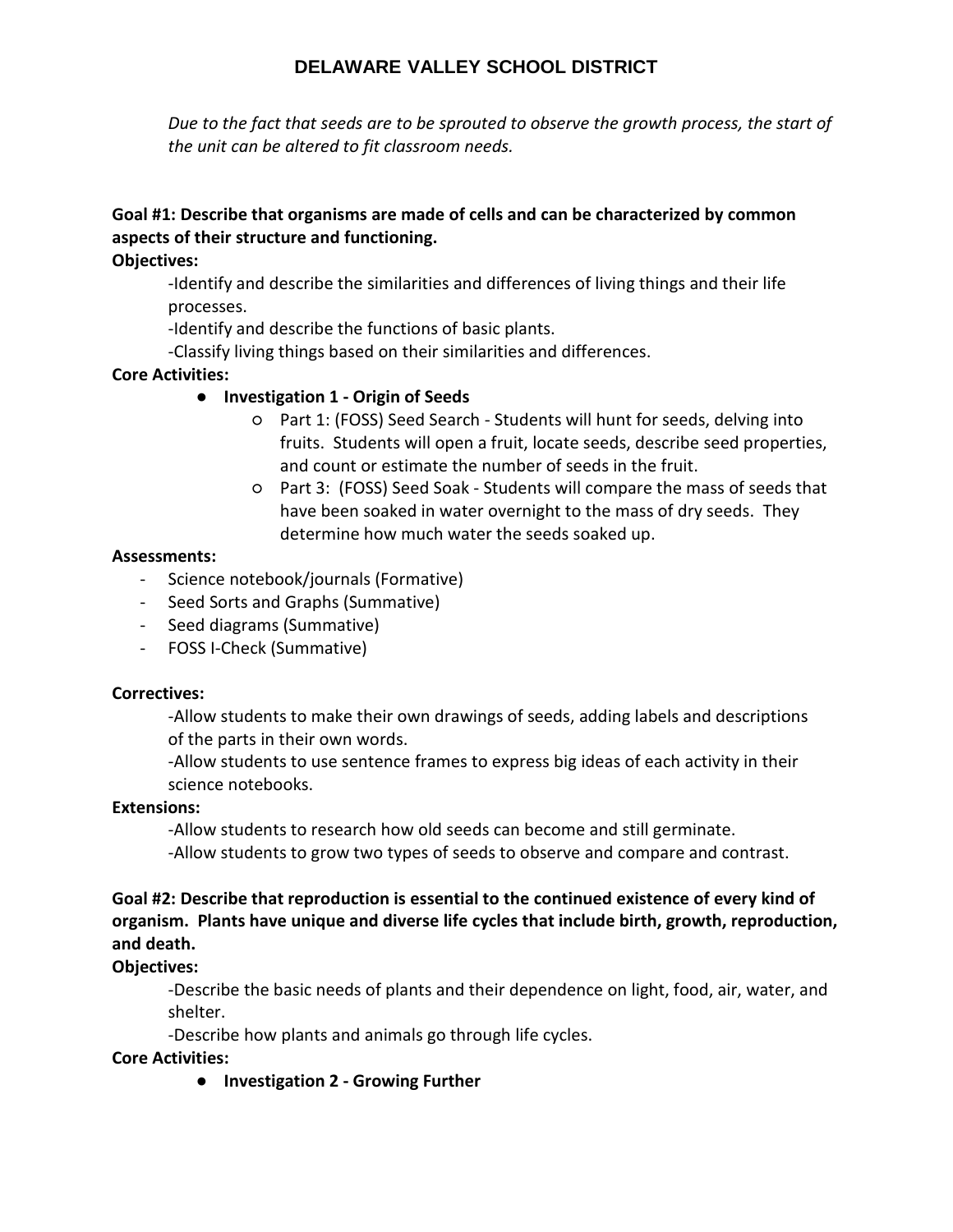*Due to the fact that seeds are to be sprouted to observe the growth process, the start of the unit can be altered to fit classroom needs.*

# **Goal #1: Describe that organisms are made of cells and can be characterized by common aspects of their structure and functioning.**

**Objectives:** 

-Identify and describe the similarities and differences of living things and their life processes.

-Identify and describe the functions of basic plants.

-Classify living things based on their similarities and differences.

#### **Core Activities:**

### ● **Investigation 1 - Origin of Seeds**

- Part 1: (FOSS) Seed Search Students will hunt for seeds, delving into fruits. Students will open a fruit, locate seeds, describe seed properties, and count or estimate the number of seeds in the fruit.
- Part 3: (FOSS) Seed Soak Students will compare the mass of seeds that have been soaked in water overnight to the mass of dry seeds. They determine how much water the seeds soaked up.

#### **Assessments:**

- Science notebook/journals (Formative)
- Seed Sorts and Graphs (Summative)
- Seed diagrams (Summative)
- FOSS I-Check (Summative)

#### **Correctives:**

-Allow students to make their own drawings of seeds, adding labels and descriptions of the parts in their own words.

-Allow students to use sentence frames to express big ideas of each activity in their science notebooks.

#### **Extensions:**

-Allow students to research how old seeds can become and still germinate. -Allow students to grow two types of seeds to observe and compare and contrast.

**Goal #2: Describe that reproduction is essential to the continued existence of every kind of organism. Plants have unique and diverse life cycles that include birth, growth, reproduction, and death.**

#### **Objectives:**

-Describe the basic needs of plants and their dependence on light, food, air, water, and shelter.

-Describe how plants and animals go through life cycles.

**Core Activities:**

● **Investigation 2 - Growing Further**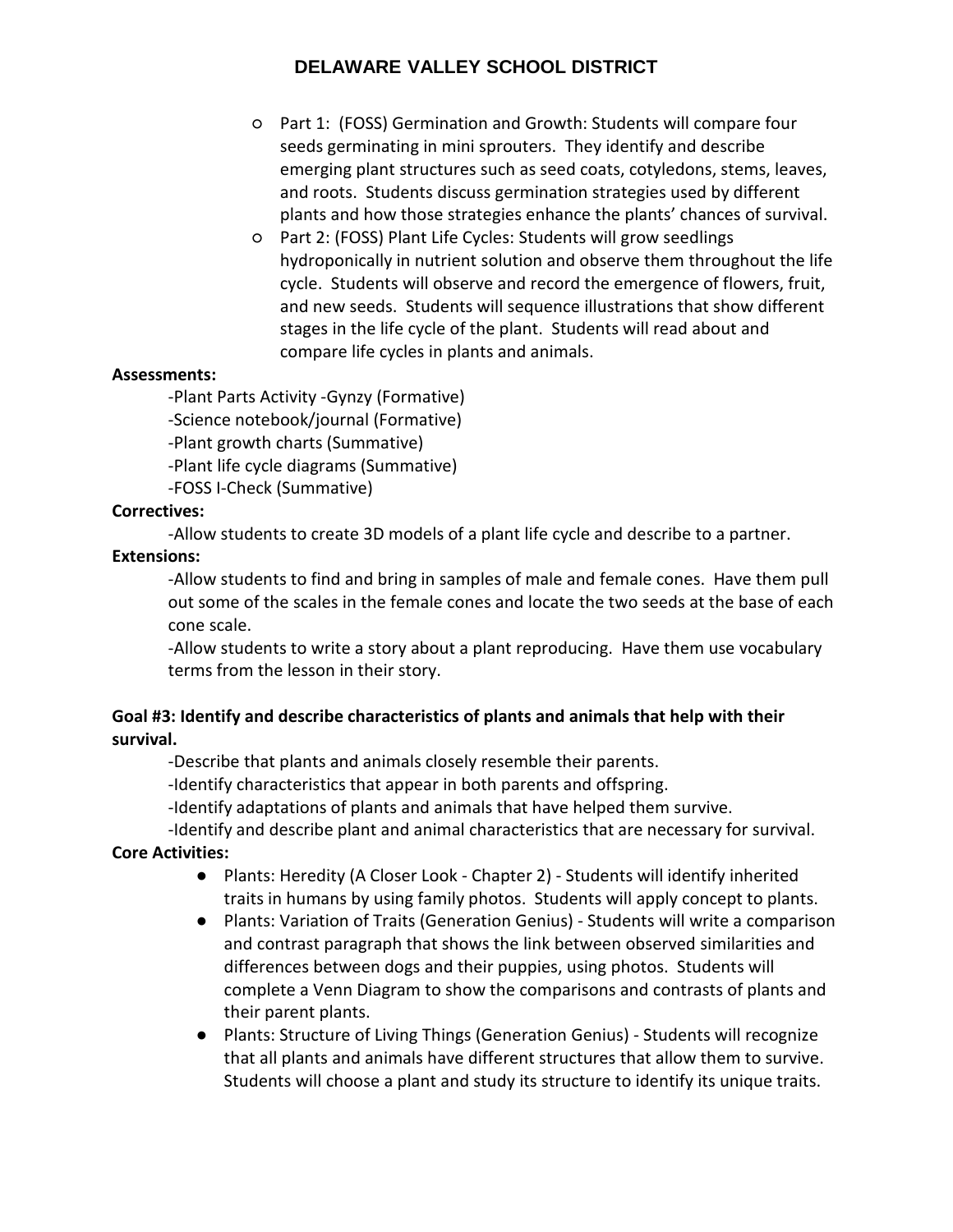- Part 1: (FOSS) Germination and Growth: Students will compare four seeds germinating in mini sprouters. They identify and describe emerging plant structures such as seed coats, cotyledons, stems, leaves, and roots. Students discuss germination strategies used by different plants and how those strategies enhance the plants' chances of survival.
- Part 2: (FOSS) Plant Life Cycles: Students will grow seedlings hydroponically in nutrient solution and observe them throughout the life cycle. Students will observe and record the emergence of flowers, fruit, and new seeds. Students will sequence illustrations that show different stages in the life cycle of the plant. Students will read about and compare life cycles in plants and animals.

#### **Assessments:**

-Plant Parts Activity -Gynzy (Formative)

-Science notebook/journal (Formative)

-Plant growth charts (Summative)

-Plant life cycle diagrams (Summative)

-FOSS I-Check (Summative)

#### **Correctives:**

-Allow students to create 3D models of a plant life cycle and describe to a partner.

#### **Extensions:**

-Allow students to find and bring in samples of male and female cones. Have them pull out some of the scales in the female cones and locate the two seeds at the base of each cone scale.

-Allow students to write a story about a plant reproducing. Have them use vocabulary terms from the lesson in their story.

#### **Goal #3: Identify and describe characteristics of plants and animals that help with their survival.**

-Describe that plants and animals closely resemble their parents.

-Identify characteristics that appear in both parents and offspring.

-Identify adaptations of plants and animals that have helped them survive.

-Identify and describe plant and animal characteristics that are necessary for survival.

#### **Core Activities:**

- Plants: Heredity (A Closer Look Chapter 2) Students will identify inherited traits in humans by using family photos. Students will apply concept to plants.
- Plants: Variation of Traits (Generation Genius) Students will write a comparison and contrast paragraph that shows the link between observed similarities and differences between dogs and their puppies, using photos. Students will complete a Venn Diagram to show the comparisons and contrasts of plants and their parent plants.
- Plants: Structure of Living Things (Generation Genius) Students will recognize that all plants and animals have different structures that allow them to survive. Students will choose a plant and study its structure to identify its unique traits.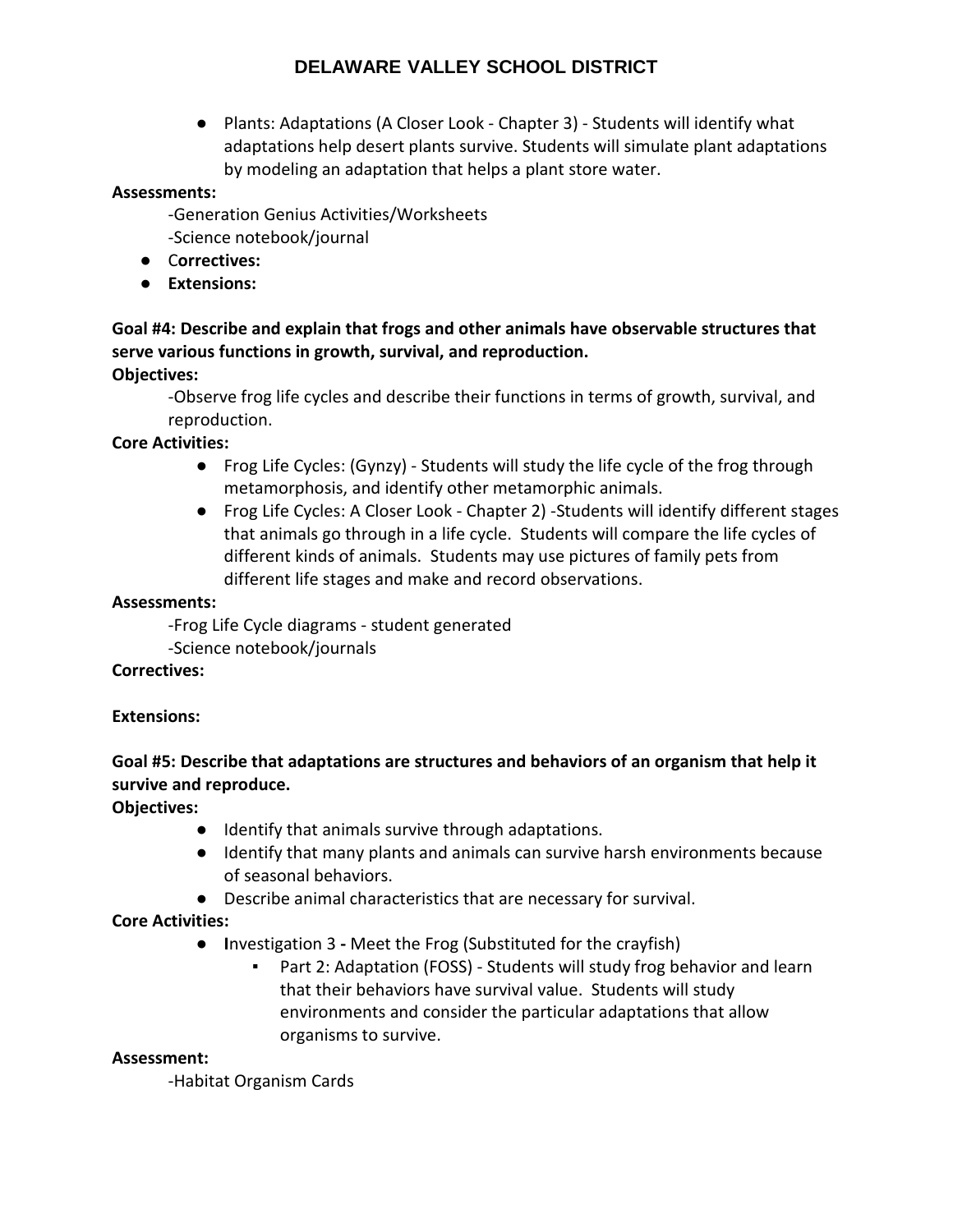● Plants: Adaptations (A Closer Look - Chapter 3) - Students will identify what adaptations help desert plants survive. Students will simulate plant adaptations by modeling an adaptation that helps a plant store water.

#### **Assessments:**

-Generation Genius Activities/Worksheets -Science notebook/journal

- C**orrectives:**
- **Extensions:**

#### **Goal #4: Describe and explain that frogs and other animals have observable structures that serve various functions in growth, survival, and reproduction. Objectives:**

-Observe frog life cycles and describe their functions in terms of growth, survival, and reproduction.

#### **Core Activities:**

- Frog Life Cycles: (Gynzy) Students will study the life cycle of the frog through metamorphosis, and identify other metamorphic animals.
- Frog Life Cycles: A Closer Look Chapter 2) -Students will identify different stages that animals go through in a life cycle. Students will compare the life cycles of different kinds of animals. Students may use pictures of family pets from different life stages and make and record observations.

#### **Assessments:**

-Frog Life Cycle diagrams - student generated -Science notebook/journals

#### **Correctives:**

#### **Extensions:**

# **Goal #5: Describe that adaptations are structures and behaviors of an organism that help it survive and reproduce.**

**Objectives:** 

- Identify that animals survive through adaptations.
- Identify that many plants and animals can survive harsh environments because of seasonal behaviors.
- Describe animal characteristics that are necessary for survival.

#### **Core Activities:**

- **I**nvestigation 3 **-** Meet the Frog (Substituted for the crayfish)
	- Part 2: Adaptation (FOSS) Students will study frog behavior and learn that their behaviors have survival value. Students will study environments and consider the particular adaptations that allow organisms to survive.

#### **Assessment:**

-Habitat Organism Cards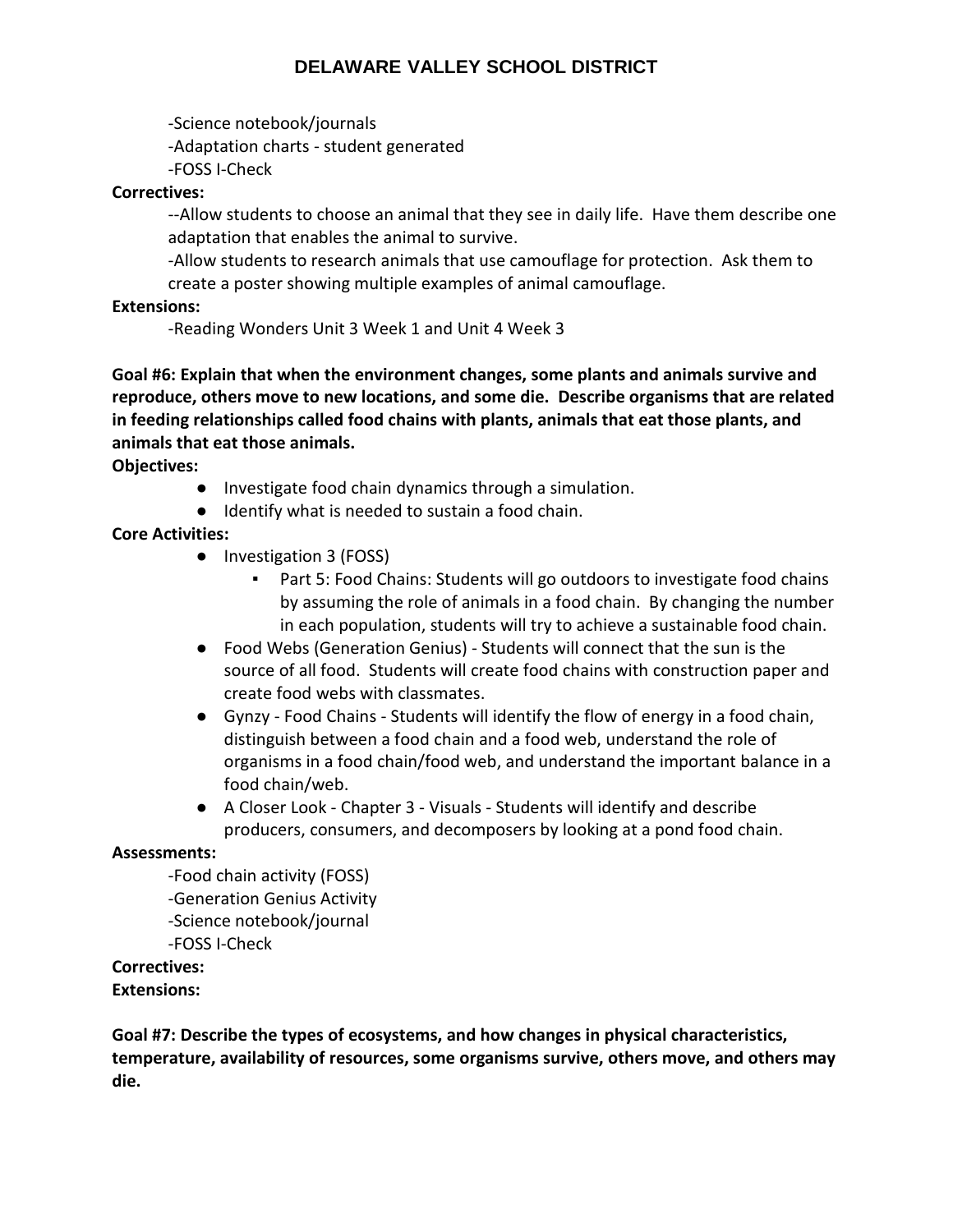-Science notebook/journals

- -Adaptation charts student generated
- -FOSS I-Check

#### **Correctives:**

--Allow students to choose an animal that they see in daily life. Have them describe one adaptation that enables the animal to survive.

-Allow students to research animals that use camouflage for protection. Ask them to create a poster showing multiple examples of animal camouflage.

#### **Extensions:**

-Reading Wonders Unit 3 Week 1 and Unit 4 Week 3

**Goal #6: Explain that when the environment changes, some plants and animals survive and reproduce, others move to new locations, and some die. Describe organisms that are related in feeding relationships called food chains with plants, animals that eat those plants, and animals that eat those animals.**

**Objectives:**

- Investigate food chain dynamics through a simulation.
- Identify what is needed to sustain a food chain.

### **Core Activities:**

- Investigation 3 (FOSS)
	- Part 5: Food Chains: Students will go outdoors to investigate food chains by assuming the role of animals in a food chain. By changing the number in each population, students will try to achieve a sustainable food chain.
- Food Webs (Generation Genius) Students will connect that the sun is the source of all food. Students will create food chains with construction paper and create food webs with classmates.
- Gynzy Food Chains Students will identify the flow of energy in a food chain, distinguish between a food chain and a food web, understand the role of organisms in a food chain/food web, and understand the important balance in a food chain/web.
- A Closer Look Chapter 3 Visuals Students will identify and describe producers, consumers, and decomposers by looking at a pond food chain.

#### **Assessments:**

-Food chain activity (FOSS) -Generation Genius Activity -Science notebook/journal -FOSS I-Check

# **Correctives:**

#### **Extensions:**

**Goal #7: Describe the types of ecosystems, and how changes in physical characteristics, temperature, availability of resources, some organisms survive, others move, and others may die.**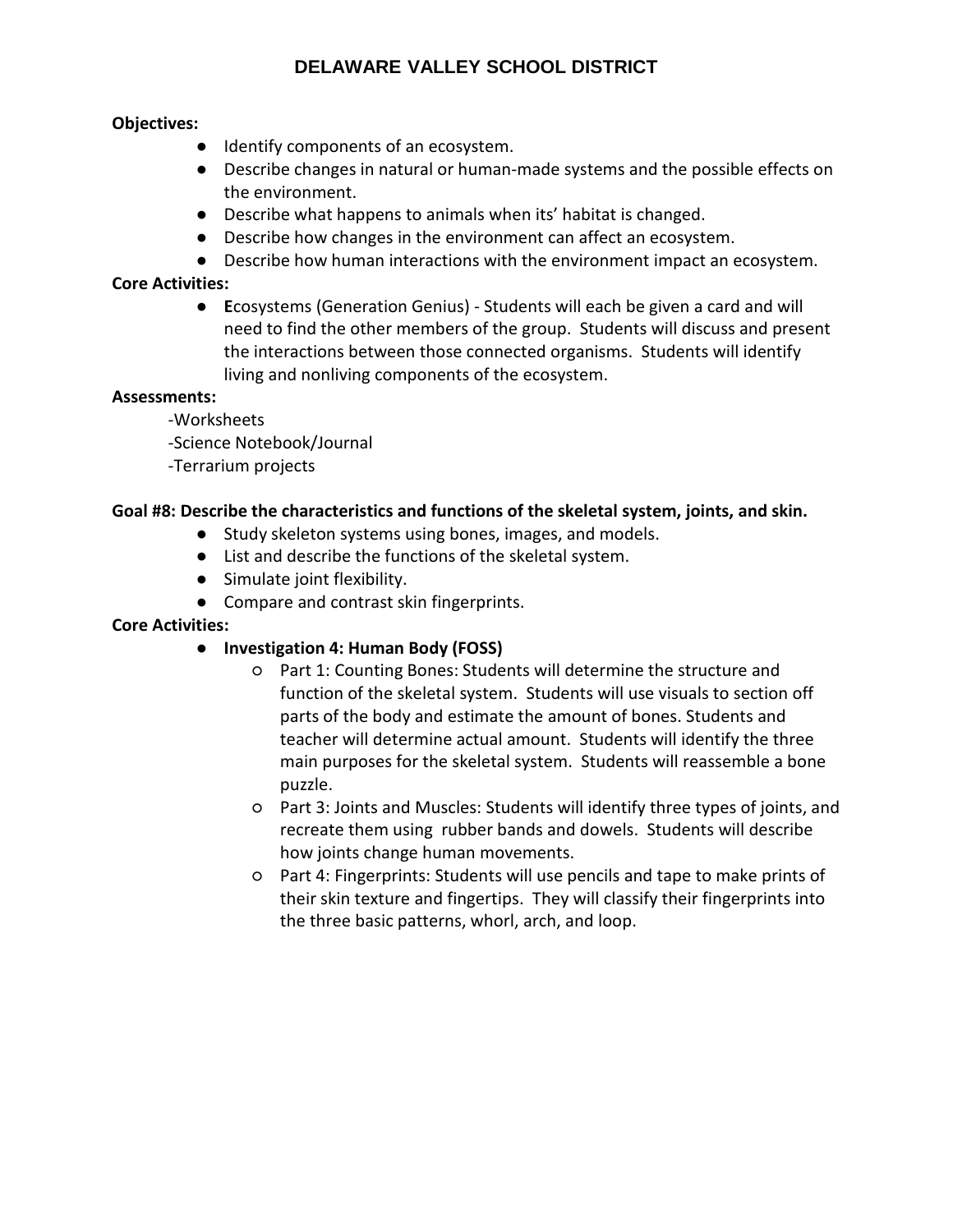#### **Objectives:**

- Identify components of an ecosystem.
- Describe changes in natural or human-made systems and the possible effects on the environment.
- Describe what happens to animals when its' habitat is changed.
- Describe how changes in the environment can affect an ecosystem.
- Describe how human interactions with the environment impact an ecosystem.

#### **Core Activities:**

● **E**cosystems (Generation Genius) - Students will each be given a card and will need to find the other members of the group. Students will discuss and present the interactions between those connected organisms. Students will identify living and nonliving components of the ecosystem.

#### **Assessments:**

- -Worksheets
- -Science Notebook/Journal
- -Terrarium projects

#### **Goal #8: Describe the characteristics and functions of the skeletal system, joints, and skin.**

- Study skeleton systems using bones, images, and models.
- List and describe the functions of the skeletal system.
- Simulate joint flexibility.
- Compare and contrast skin fingerprints.

#### **Core Activities:**

- **Investigation 4: Human Body (FOSS)**
	- Part 1: Counting Bones: Students will determine the structure and function of the skeletal system. Students will use visuals to section off parts of the body and estimate the amount of bones. Students and teacher will determine actual amount. Students will identify the three main purposes for the skeletal system. Students will reassemble a bone puzzle.
	- Part 3: Joints and Muscles: Students will identify three types of joints, and recreate them using rubber bands and dowels. Students will describe how joints change human movements.
	- Part 4: Fingerprints: Students will use pencils and tape to make prints of their skin texture and fingertips. They will classify their fingerprints into the three basic patterns, whorl, arch, and loop.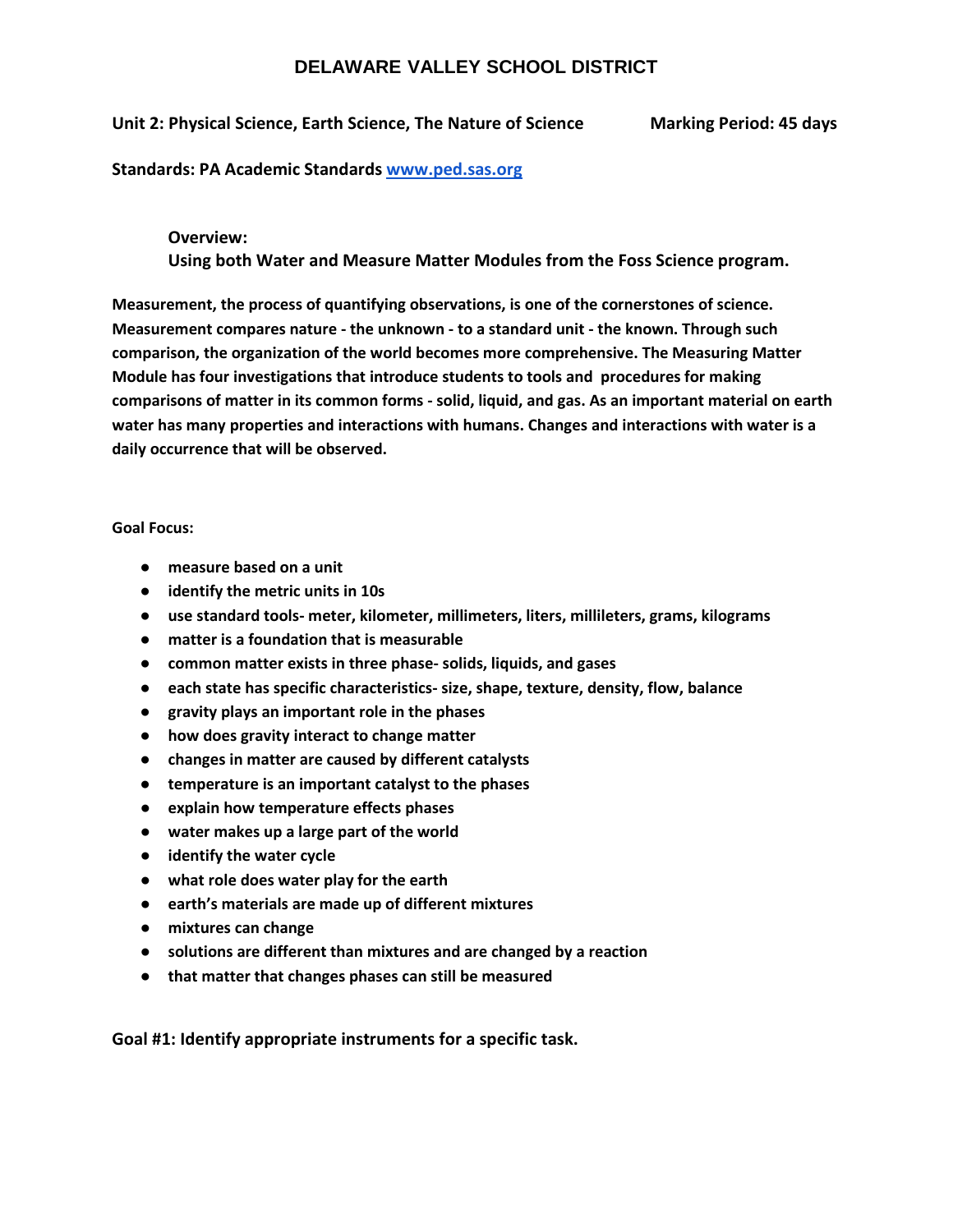#### **Unit 2: Physical Science, Earth Science, The Nature of Science Marking Period: 45 days**

**Standards: PA Academic Standards [www.ped.sas.org](http://www.ped.sas.org/)**

**Overview: Using both Water and Measure Matter Modules from the Foss Science program.**

**Measurement, the process of quantifying observations, is one of the cornerstones of science. Measurement compares nature - the unknown - to a standard unit - the known. Through such comparison, the organization of the world becomes more comprehensive. The Measuring Matter Module has four investigations that introduce students to tools and procedures for making comparisons of matter in its common forms - solid, liquid, and gas. As an important material on earth water has many properties and interactions with humans. Changes and interactions with water is a daily occurrence that will be observed.**

#### **Goal Focus:**

- **measure based on a unit**
- **identify the metric units in 10s**
- **use standard tools- meter, kilometer, millimeters, liters, millileters, grams, kilograms**
- **matter is a foundation that is measurable**
- **common matter exists in three phase- solids, liquids, and gases**
- **each state has specific characteristics- size, shape, texture, density, flow, balance**
- **gravity plays an important role in the phases**
- **how does gravity interact to change matter**
- **changes in matter are caused by different catalysts**
- **temperature is an important catalyst to the phases**
- **explain how temperature effects phases**
- **water makes up a large part of the world**
- **identify the water cycle**
- **what role does water play for the earth**
- **earth's materials are made up of different mixtures**
- **mixtures can change**
- **solutions are different than mixtures and are changed by a reaction**
- **that matter that changes phases can still be measured**

**Goal #1: Identify appropriate instruments for a specific task.**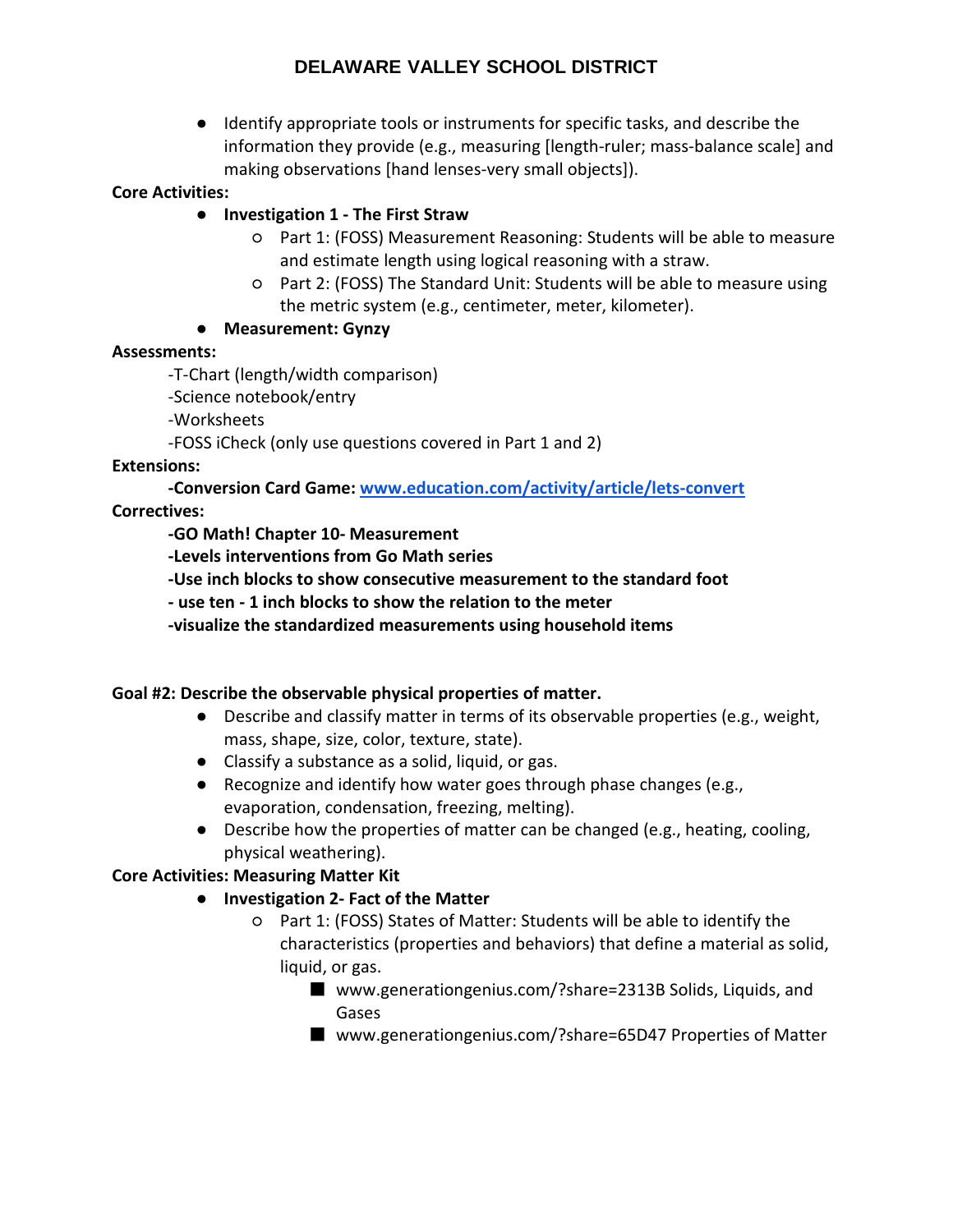● Identify appropriate tools or instruments for specific tasks, and describe the information they provide (e.g., measuring [length-ruler; mass-balance scale] and making observations [hand lenses-very small objects]).

#### **Core Activities:**

- **Investigation 1 - The First Straw**
	- Part 1: (FOSS) Measurement Reasoning: Students will be able to measure and estimate length using logical reasoning with a straw.
	- Part 2: (FOSS) The Standard Unit: Students will be able to measure using the metric system (e.g., centimeter, meter, kilometer).

### ● **Measurement: Gynzy**

#### **Assessments:**

-T-Chart (length/width comparison)

-Science notebook/entry

-Worksheets

-FOSS iCheck (only use questions covered in Part 1 and 2)

#### **Extensions:**

**-Conversion Card Game: [www.education.com/activity/article/lets-convert](http://www.education.com/activity/article/lets-convert) Correctives:**

**-GO Math! Chapter 10- Measurement**

**-Levels interventions from Go Math series**

**-Use inch blocks to show consecutive measurement to the standard foot**

**- use ten - 1 inch blocks to show the relation to the meter**

**-visualize the standardized measurements using household items**

#### **Goal #2: Describe the observable physical properties of matter.**

- Describe and classify matter in terms of its observable properties (e.g., weight, mass, shape, size, color, texture, state).
- Classify a substance as a solid, liquid, or gas.
- Recognize and identify how water goes through phase changes (e.g., evaporation, condensation, freezing, melting).
- Describe how the properties of matter can be changed (e.g., heating, cooling, physical weathering).

### **Core Activities: Measuring Matter Kit**

- **Investigation 2- Fact of the Matter**
	- Part 1: (FOSS) States of Matter: Students will be able to identify the characteristics (properties and behaviors) that define a material as solid, liquid, or gas.
		- www.generationgenius.com/?share=2313B Solids, Liquids, and Gases
		- www.generationgenius.com/?share=65D47 Properties of Matter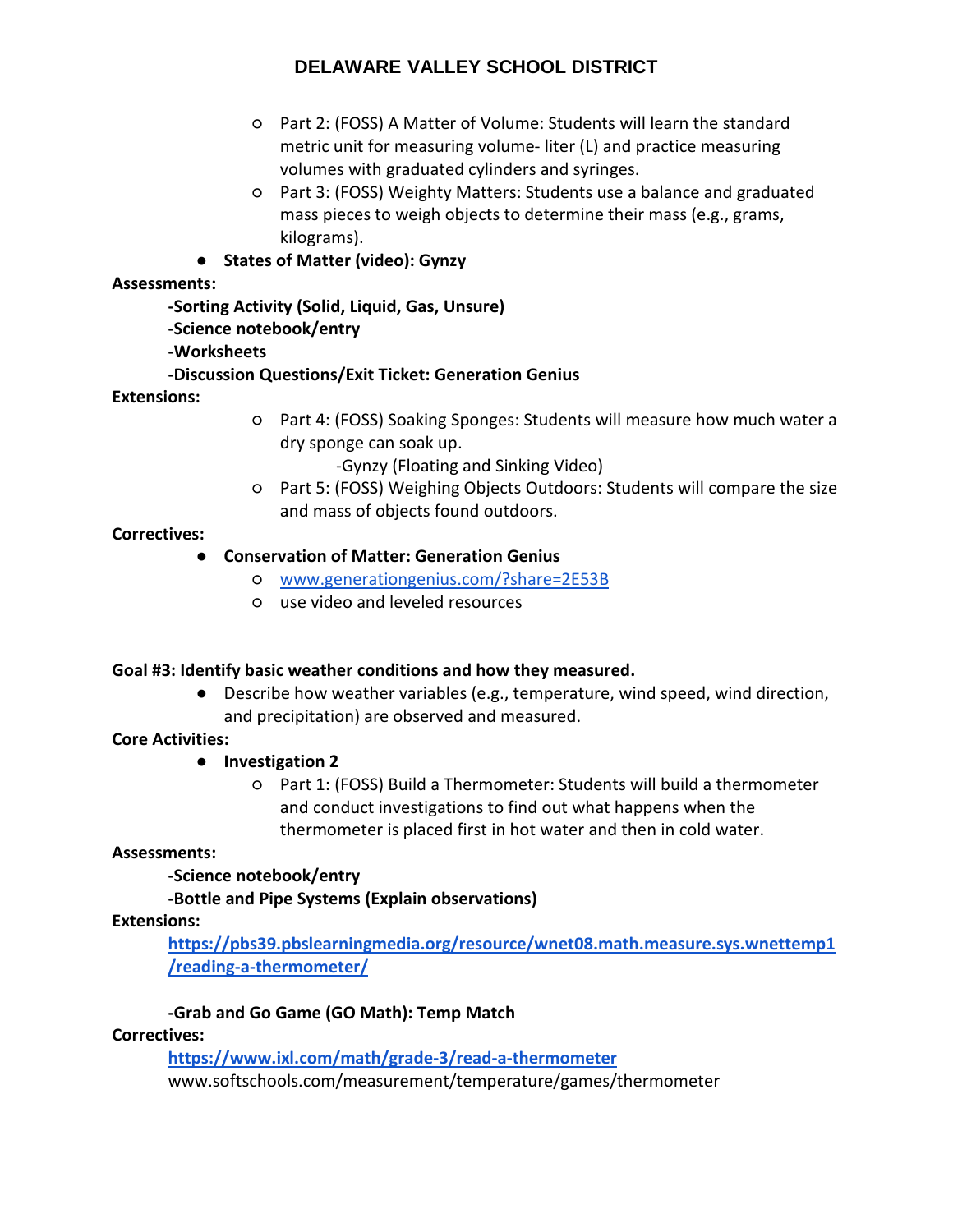- Part 2: (FOSS) A Matter of Volume: Students will learn the standard metric unit for measuring volume- liter (L) and practice measuring volumes with graduated cylinders and syringes.
- Part 3: (FOSS) Weighty Matters: Students use a balance and graduated mass pieces to weigh objects to determine their mass (e.g., grams, kilograms).
- **States of Matter (video): Gynzy**

#### **Assessments:**

#### **-Sorting Activity (Solid, Liquid, Gas, Unsure)**

### **-Science notebook/entry**

### **-Worksheets**

### **-Discussion Questions/Exit Ticket: Generation Genius**

**Extensions:**

○ Part 4: (FOSS) Soaking Sponges: Students will measure how much water a dry sponge can soak up.

-Gynzy (Floating and Sinking Video)

○ Part 5: (FOSS) Weighing Objects Outdoors: Students will compare the size and mass of objects found outdoors.

### **Correctives:**

### ● **Conservation of Matter: Generation Genius**

- [www.generationgenius.com/?share=2E53B](http://www.generationgenius.com/?share=2E53B)
- use video and leveled resources

#### **Goal #3: Identify basic weather conditions and how they measured.**

● Describe how weather variables (e.g., temperature, wind speed, wind direction, and precipitation) are observed and measured.

### **Core Activities:**

- **Investigation 2**
	- Part 1: (FOSS) Build a Thermometer: Students will build a thermometer and conduct investigations to find out what happens when the thermometer is placed first in hot water and then in cold water.

#### **Assessments:**

### **-Science notebook/entry**

**-Bottle and Pipe Systems (Explain observations)**

#### **Extensions:**

**[https://pbs39.pbslearningmedia.org/resource/wnet08.math.measure.sys.wnettemp1](https://pbs39.pbslearningmedia.org/resource/wnet08.math.measure.sys.wnettemp1/reading-a-thermometer/) [/reading-a-thermometer/](https://pbs39.pbslearningmedia.org/resource/wnet08.math.measure.sys.wnettemp1/reading-a-thermometer/)**

### **-Grab and Go Game (GO Math): Temp Match**

#### **Correctives:**

**<https://www.ixl.com/math/grade-3/read-a-thermometer>**

www.softschools.com/measurement/temperature/games/thermometer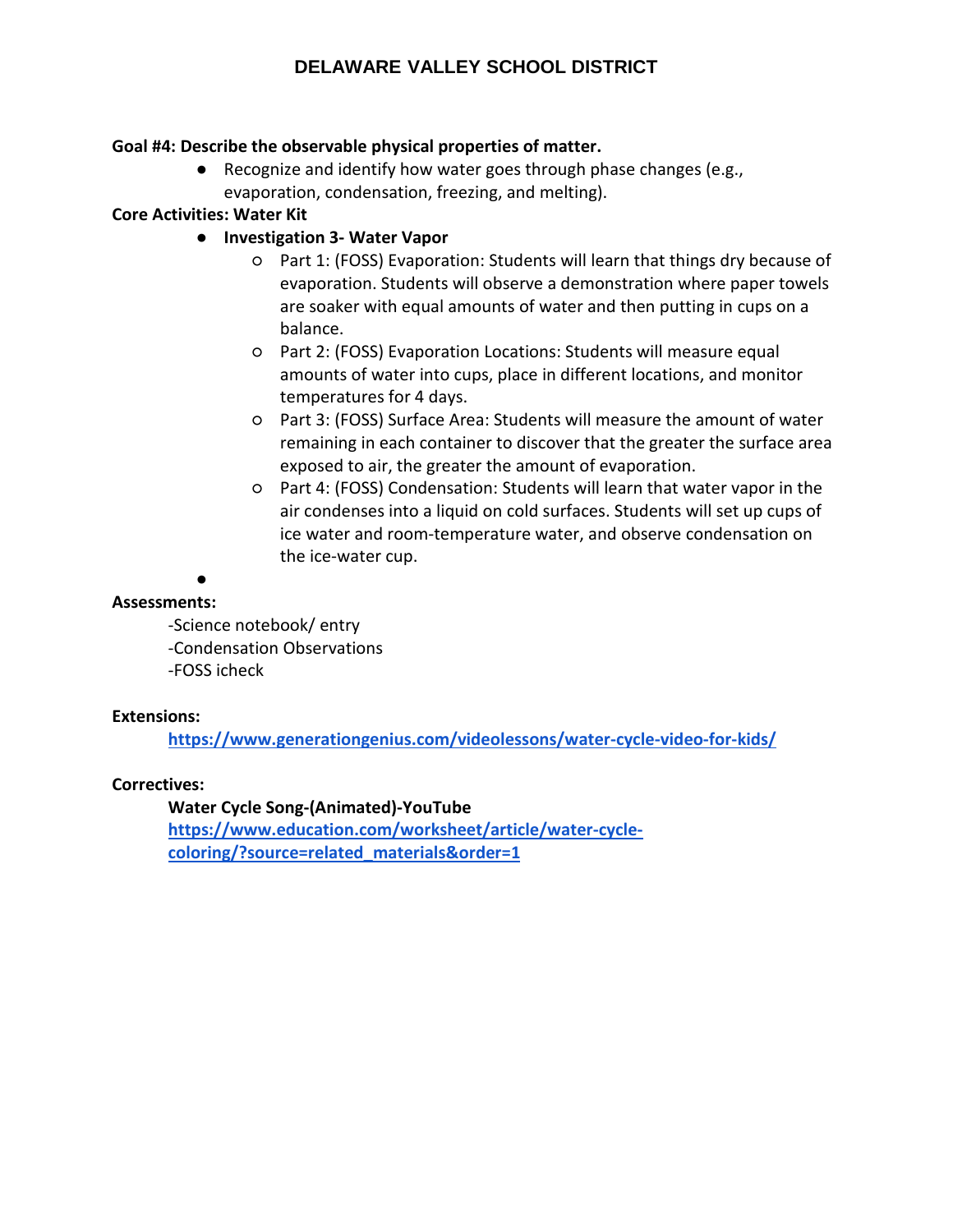#### **Goal #4: Describe the observable physical properties of matter.**

● Recognize and identify how water goes through phase changes (e.g., evaporation, condensation, freezing, and melting).

#### **Core Activities: Water Kit**

- **Investigation 3- Water Vapor**
	- Part 1: (FOSS) Evaporation: Students will learn that things dry because of evaporation. Students will observe a demonstration where paper towels are soaker with equal amounts of water and then putting in cups on a balance.
	- Part 2: (FOSS) Evaporation Locations: Students will measure equal amounts of water into cups, place in different locations, and monitor temperatures for 4 days.
	- Part 3: (FOSS) Surface Area: Students will measure the amount of water remaining in each container to discover that the greater the surface area exposed to air, the greater the amount of evaporation.
	- Part 4: (FOSS) Condensation: Students will learn that water vapor in the air condenses into a liquid on cold surfaces. Students will set up cups of ice water and room-temperature water, and observe condensation on the ice-water cup.

#### ● **Assessments:**

-Science notebook/ entry

-Condensation Observations

-FOSS icheck

#### **Extensions:**

**<https://www.generationgenius.com/videolessons/water-cycle-video-for-kids/>**

#### **Correctives:**

**Water Cycle Song-(Animated)-YouTube [https://www.education.com/worksheet/article/water-cycle](https://www.education.com/worksheet/article/water-cycle-coloring/?source=related_materials&order=1)[coloring/?source=related\\_materials&order=1](https://www.education.com/worksheet/article/water-cycle-coloring/?source=related_materials&order=1)**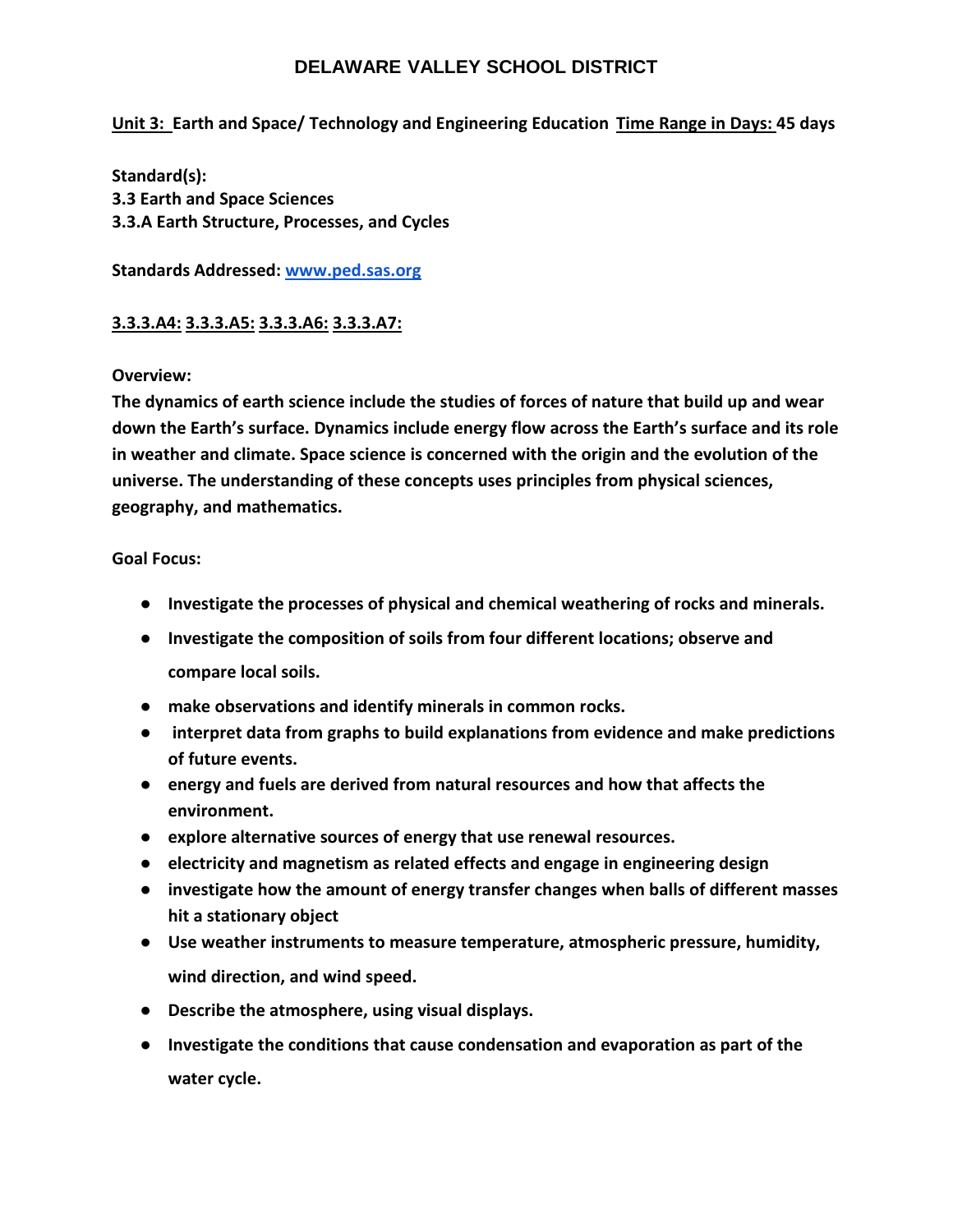#### **Unit 3: Earth and Space/ Technology and Engineering Education Time Range in Days: 45 days**

**Standard(s): 3.3 Earth and Space Sciences 3.3.A Earth Structure, Processes, and Cycles**

**Standards Addressed: [www.ped.sas.org](http://www.ped.sas.org/)**

#### **[3.3.3.A4:](http://www.pdesas.org/Standard/StandardsBrowser/24897) 3.3.3.A5: [3.3.3.A6:](http://www.pdesas.org/Standard/StandardsBrowser/24899) [3.3.3.A7:](http://www.pdesas.org/Standard/StandardsBrowser/24900)**

#### **Overview:**

**The dynamics of earth science include the studies of forces of nature that build up and wear down the Earth's surface. Dynamics include energy flow across the Earth's surface and its role in weather and climate. Space science is concerned with the origin and the evolution of the universe. The understanding of these concepts uses principles from physical sciences, geography, and mathematics.** 

#### **Goal Focus:**

- **Investigate the processes of physical and chemical weathering of rocks and minerals.**
- **Investigate the composition of soils from four different locations; observe and compare local soils.**
- **make observations and identify minerals in common rocks.**
- **interpret data from graphs to build explanations from evidence and make predictions of future events.**
- **energy and fuels are derived from natural resources and how that affects the environment.**
- **explore alternative sources of energy that use renewal resources.**
- **electricity and magnetism as related effects and engage in engineering design**
- **investigate how the amount of energy transfer changes when balls of different masses hit a stationary object**
- **Use weather instruments to measure temperature, atmospheric pressure, humidity, wind direction, and wind speed.**
- **Describe the atmosphere, using visual displays.**
- **Investigate the conditions that cause condensation and evaporation as part of the water cycle.**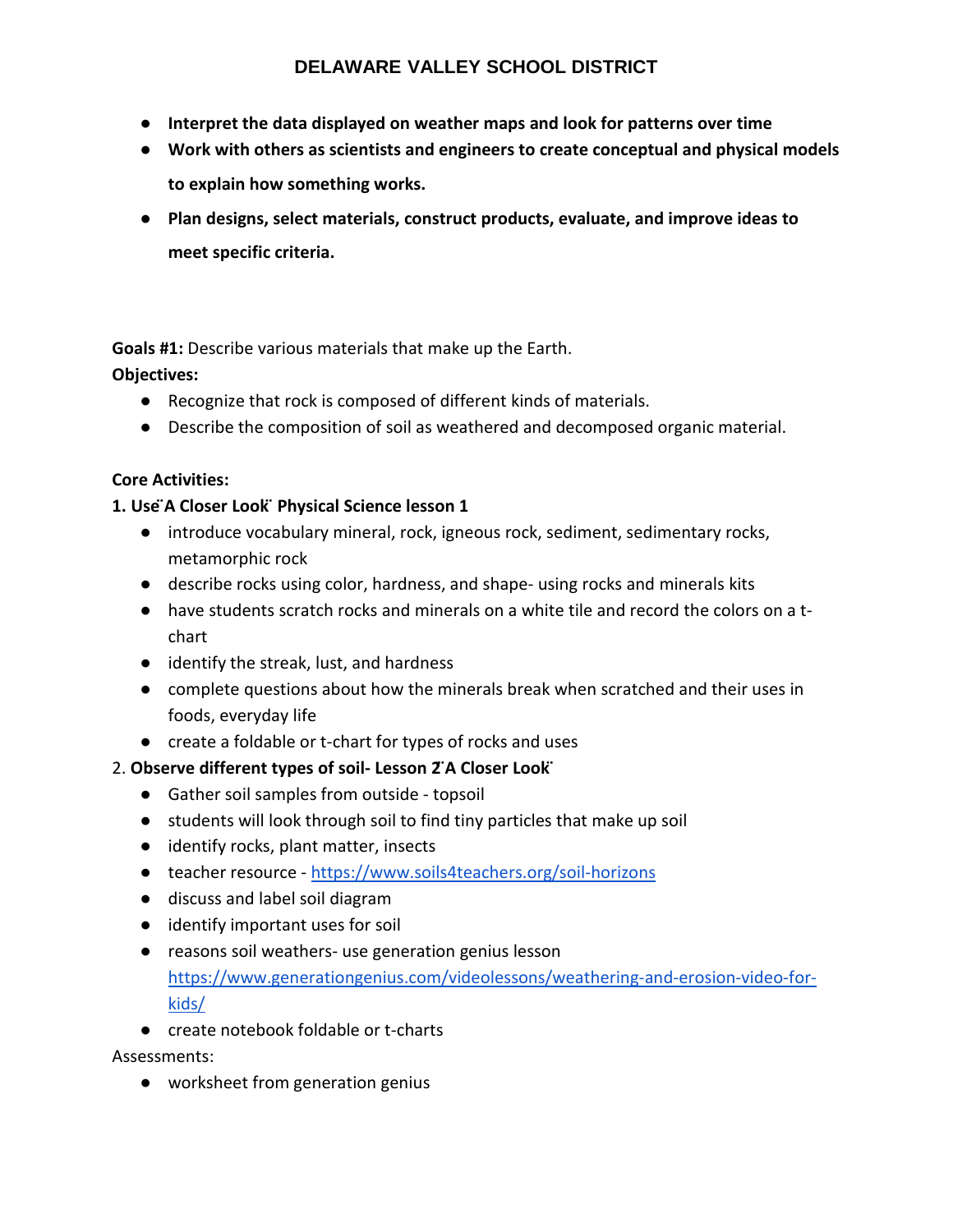- **Interpret the data displayed on weather maps and look for patterns over time**
- **Work with others as scientists and engineers to create conceptual and physical models to explain how something works.**
- **Plan designs, select materials, construct products, evaluate, and improve ideas to meet specific criteria.**

**Goals #1:** Describe various materials that make up the Earth. **Objectives:**

- Recognize that rock is composed of different kinds of materials.
- Describe the composition of soil as weathered and decomposed organic material.

### **Core Activities:**

#### **1. Use ̈A Closer Look ̈Physical Science lesson 1**

- introduce vocabulary mineral, rock, igneous rock, sediment, sedimentary rocks, metamorphic rock
- describe rocks using color, hardness, and shape- using rocks and minerals kits
- have students scratch rocks and minerals on a white tile and record the colors on a tchart
- identify the streak, lust, and hardness
- complete questions about how the minerals break when scratched and their uses in foods, everyday life
- create a foldable or t-chart for types of rocks and uses

### 2. **Observe different types of soil- Lesson 2 ̈A Closer Look ̈**

- Gather soil samples from outside topsoil
- students will look through soil to find tiny particles that make up soil
- identify rocks, plant matter, insects
- teacher resource <https://www.soils4teachers.org/soil-horizons>
- discuss and label soil diagram
- identify important uses for soil
- reasons soil weathers- use generation genius lesson [https://www.generationgenius.com/videolessons/weathering-and-erosion-video-for](https://www.generationgenius.com/videolessons/weathering-and-erosion-video-for-kids/)[kids/](https://www.generationgenius.com/videolessons/weathering-and-erosion-video-for-kids/)
- create notebook foldable or t-charts

Assessments:

● worksheet from generation genius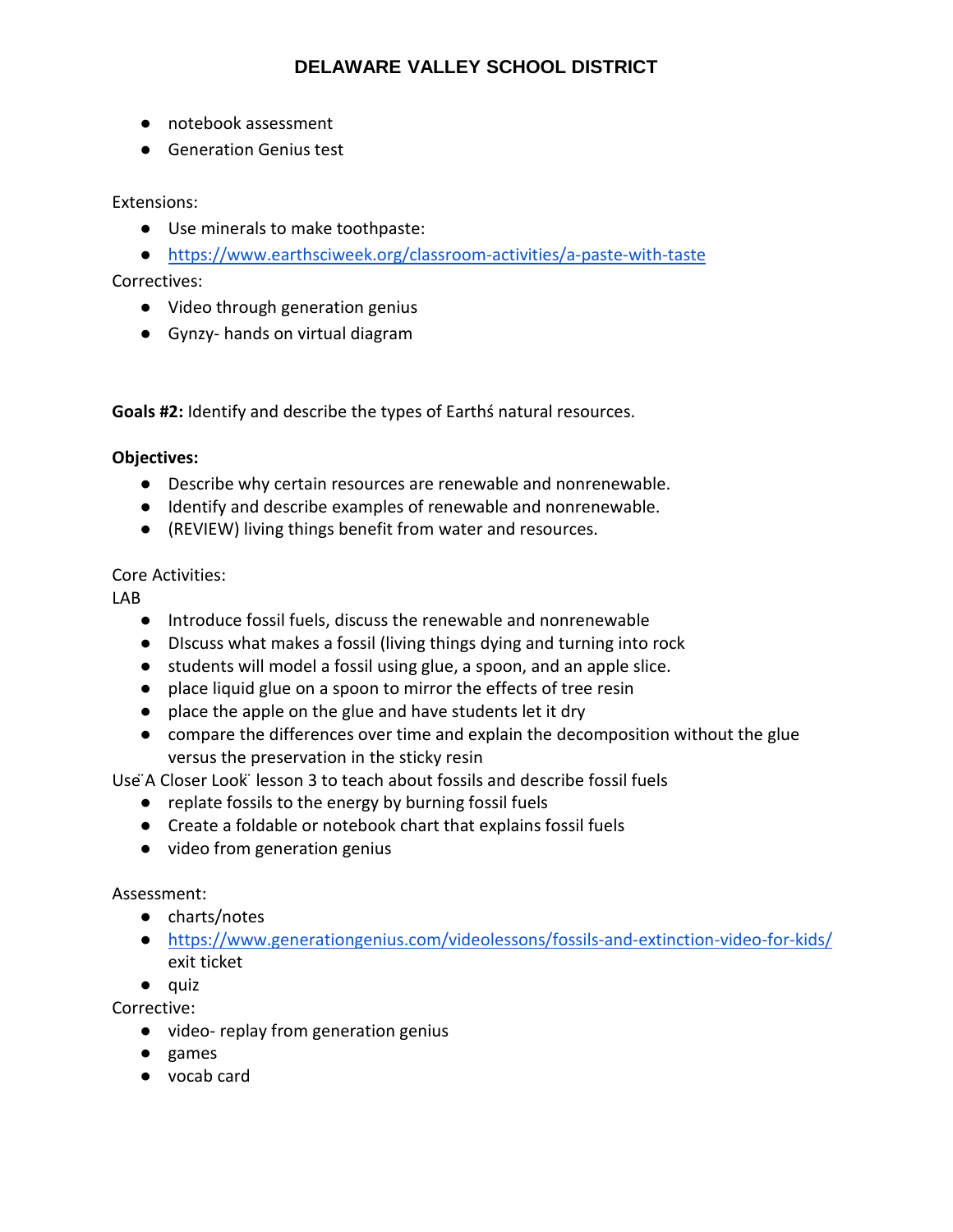- notebook assessment
- Generation Genius test

Extensions:

- Use minerals to make toothpaste:
- <https://www.earthsciweek.org/classroom-activities/a-paste-with-taste>

Correctives:

- Video through generation genius
- Gynzy- hands on virtual diagram

**Goals #2:** Identify and describe the types of Earthś natural resources.

#### **Objectives:**

- Describe why certain resources are renewable and nonrenewable.
- Identify and describe examples of renewable and nonrenewable.
- (REVIEW) living things benefit from water and resources.

#### Core Activities:

LAB

- Introduce fossil fuels, discuss the renewable and nonrenewable
- DIscuss what makes a fossil (living things dying and turning into rock
- students will model a fossil using glue, a spoon, and an apple slice.
- place liquid glue on a spoon to mirror the effects of tree resin
- place the apple on the glue and have students let it dry
- compare the differences over time and explain the decomposition without the glue versus the preservation in the sticky resin

Use ̈A Closer Look ̈lesson 3 to teach about fossils and describe fossil fuels

- replate fossils to the energy by burning fossil fuels
- Create a foldable or notebook chart that explains fossil fuels
- video from generation genius

#### Assessment:

- charts/notes
- <https://www.generationgenius.com/videolessons/fossils-and-extinction-video-for-kids/> exit ticket
- quiz

Corrective:

- video- replay from generation genius
- games
- vocab card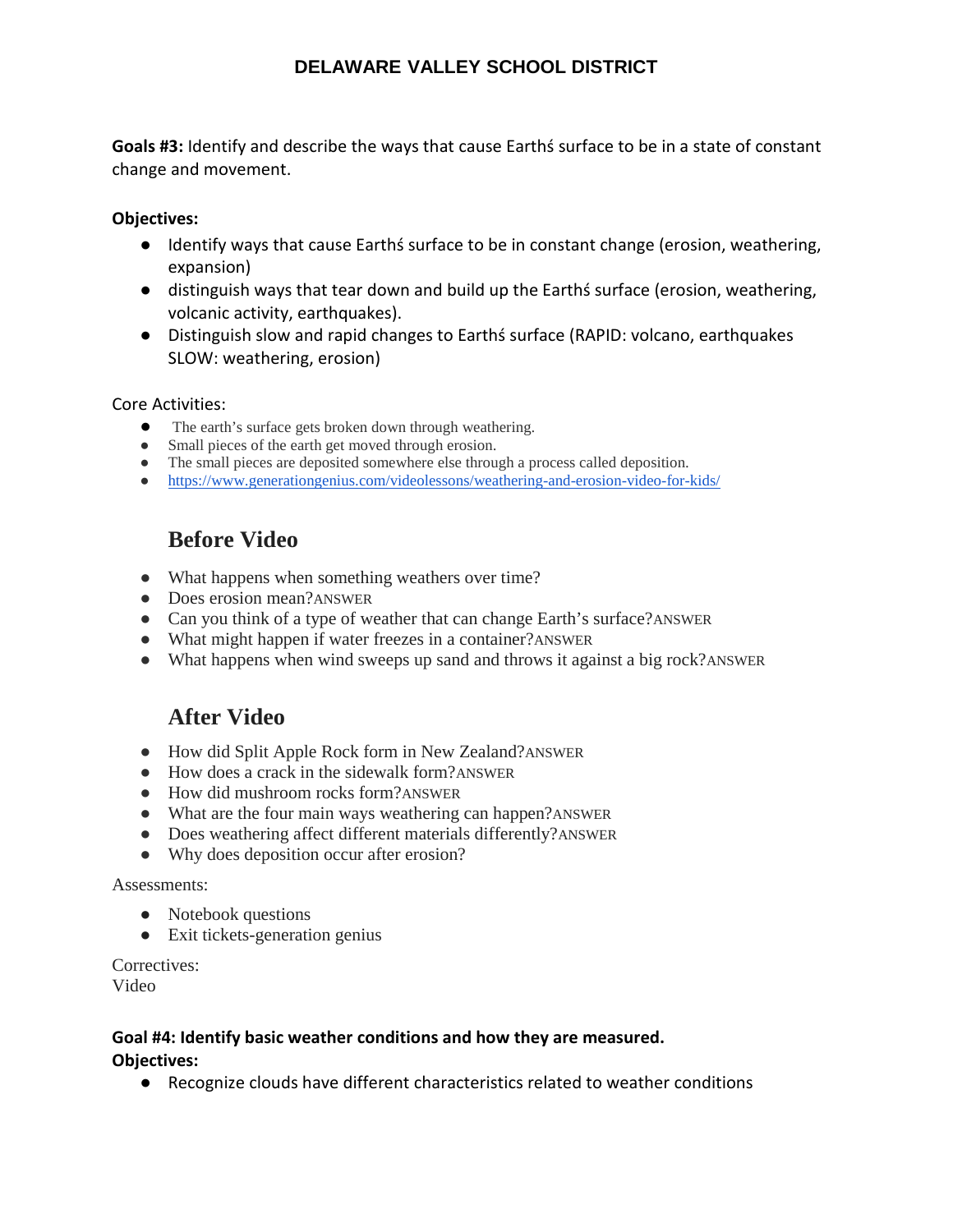**Goals #3:** Identify and describe the ways that cause Earthś surface to be in a state of constant change and movement.

#### **Objectives:**

- Identify ways that cause Earthś surface to be in constant change (erosion, weathering, expansion)
- distinguish ways that tear down and build up the Earthś surface (erosion, weathering, volcanic activity, earthquakes).
- Distinguish slow and rapid changes to Earthś surface (RAPID: volcano, earthquakes SLOW: weathering, erosion)

Core Activities:

- The earth's surface gets broken down through weathering.
- Small pieces of the earth get moved through erosion.
- The small pieces are deposited somewhere else through a process called deposition.
- <https://www.generationgenius.com/videolessons/weathering-and-erosion-video-for-kids/>

# **Before Video**

- What happens when something weathers over time?
- Does erosion mean?ANSWER
- Can you think of a type of weather that can change Earth's surface?ANSWER
- What might happen if water freezes in a container?ANSWER
- What happens when wind sweeps up sand and throws it against a big rock?ANSWER

# **After Video**

- How did Split Apple Rock form in New Zealand?ANSWER
- How does a crack in the sidewalk form?ANSWER
- How did mushroom rocks form?ANSWER
- What are the four main ways weathering can happen?ANSWER
- Does weathering affect different materials differently?ANSWER
- Why does deposition occur after erosion?

#### Assessments:

- Notebook questions
- Exit tickets-generation genius

#### Correctives:

Video

#### **Goal #4: Identify basic weather conditions and how they are measured. Objectives:**

● Recognize clouds have different characteristics related to weather conditions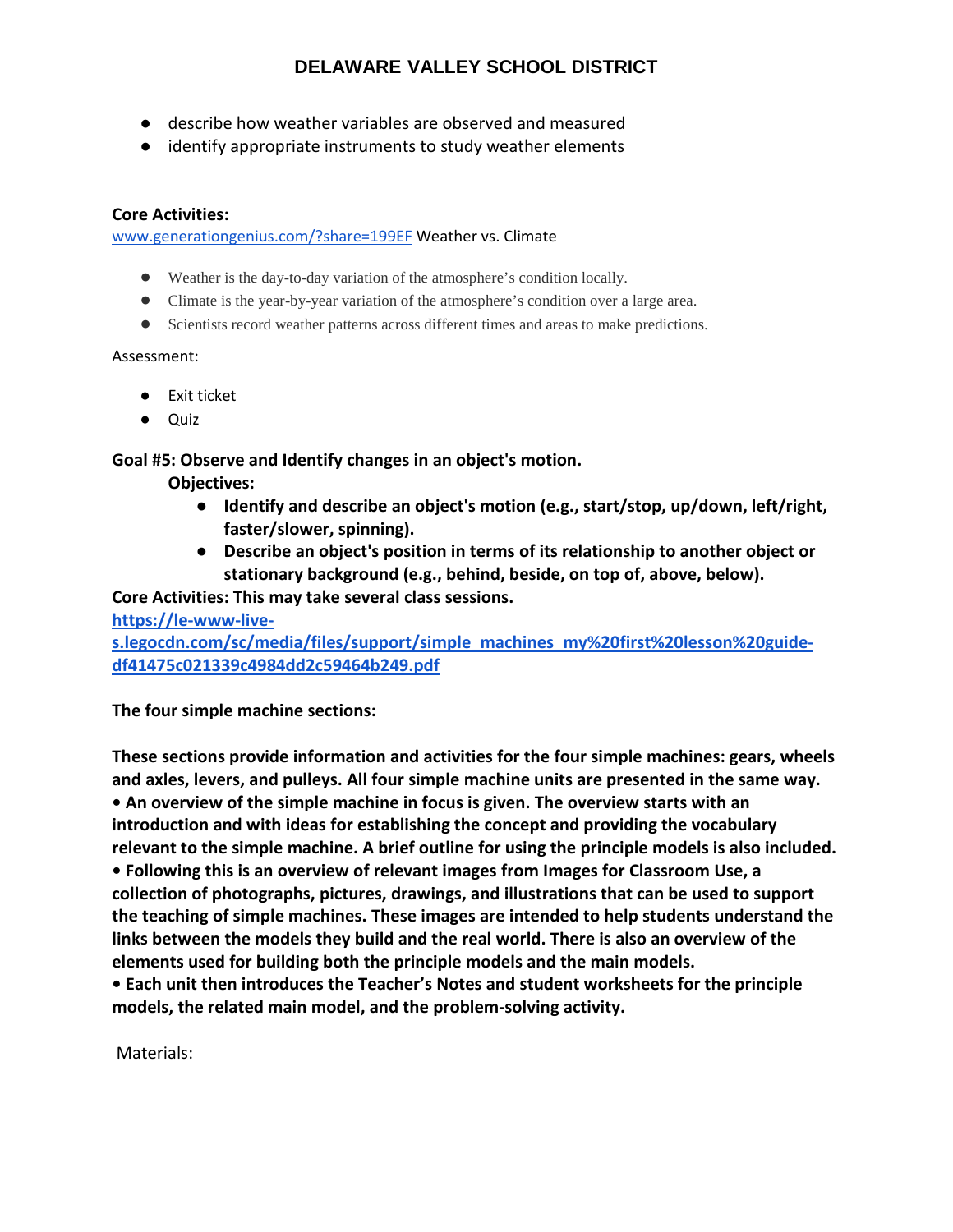- describe how weather variables are observed and measured
- identify appropriate instruments to study weather elements

#### **Core Activities:**

[www.generationgenius.com/?share=199EF](http://www.generationgenius.com/?share=199EF) Weather vs. Climate

- Weather is the day-to-day variation of the atmosphere's condition locally.
- Climate is the year-by-year variation of the atmosphere's condition over a large area.
- Scientists record weather patterns across different times and areas to make predictions.

#### Assessment:

- Exit ticket
- Quiz

**Goal #5: Observe and Identify changes in an object's motion.**

**Objectives:**

- **Identify and describe an object's motion (e.g., start/stop, up/down, left/right, faster/slower, spinning).**
- **Describe an object's position in terms of its relationship to another object or stationary background (e.g., behind, beside, on top of, above, below).**

**Core Activities: This may take several class sessions.**

**[https://le-www-live-](https://le-www-live-s.legocdn.com/sc/media/files/support/simple_machines_my%20first%20lesson%20guide-df41475c021339c4984dd2c59464b249.pdf)**

**[s.legocdn.com/sc/media/files/support/simple\\_machines\\_my%20first%20lesson%20guide](https://le-www-live-s.legocdn.com/sc/media/files/support/simple_machines_my%20first%20lesson%20guide-df41475c021339c4984dd2c59464b249.pdf)[df41475c021339c4984dd2c59464b249.pdf](https://le-www-live-s.legocdn.com/sc/media/files/support/simple_machines_my%20first%20lesson%20guide-df41475c021339c4984dd2c59464b249.pdf)**

**The four simple machine sections:** 

**These sections provide information and activities for the four simple machines: gears, wheels and axles, levers, and pulleys. All four simple machine units are presented in the same way. • An overview of the simple machine in focus is given. The overview starts with an introduction and with ideas for establishing the concept and providing the vocabulary relevant to the simple machine. A brief outline for using the principle models is also included. • Following this is an overview of relevant images from Images for Classroom Use, a collection of photographs, pictures, drawings, and illustrations that can be used to support the teaching of simple machines. These images are intended to help students understand the links between the models they build and the real world. There is also an overview of the elements used for building both the principle models and the main models.** 

**• Each unit then introduces the Teacher's Notes and student worksheets for the principle models, the related main model, and the problem-solving activity.**

Materials: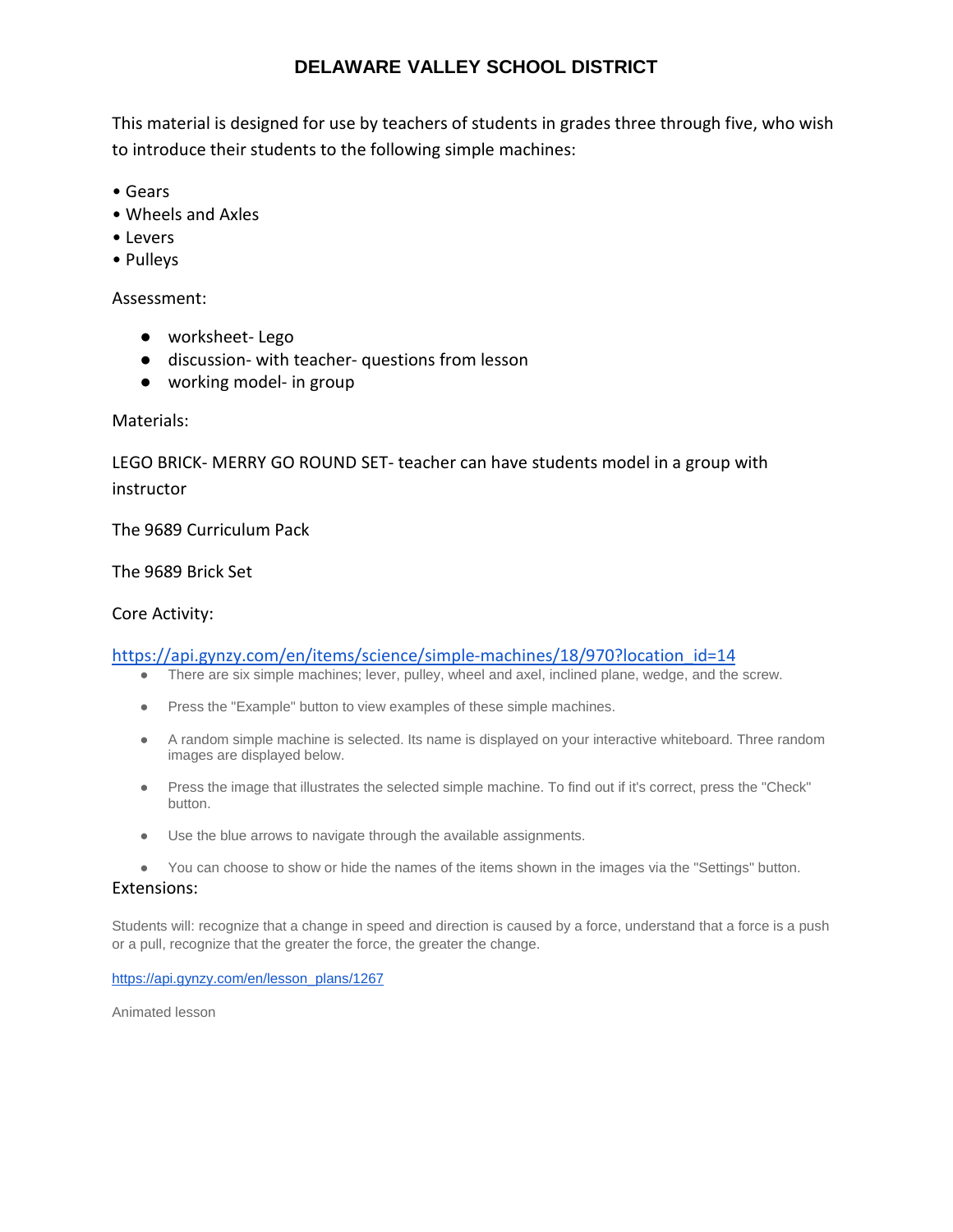This material is designed for use by teachers of students in grades three through five, who wish to introduce their students to the following simple machines:

- Gears
- Wheels and Axles
- Levers
- Pulleys

#### Assessment:

- worksheet- Lego
- discussion- with teacher- questions from lesson
- working model- in group

#### Materials:

LEGO BRICK- MERRY GO ROUND SET- teacher can have students model in a group with instructor

The 9689 Curriculum Pack

#### The 9689 Brick Set

#### Core Activity:

#### [https://api.gynzy.com/en/items/science/simple-machines/18/970?location\\_id=14](https://api.gynzy.com/en/items/science/simple-machines/18/970?location_id=14)

- There are six simple machines; lever, pulley, wheel and axel, inclined plane, wedge, and the screw.
- Press the "Example" button to view examples of these simple machines.
- A random simple machine is selected. Its name is displayed on your interactive whiteboard. Three random images are displayed below.
- Press the image that illustrates the selected simple machine. To find out if it's correct, press the "Check" button.
- Use the blue arrows to navigate through the available assignments.

● You can choose to show or hide the names of the items shown in the images via the "Settings" button. Extensions:

Students will: recognize that a change in speed and direction is caused by a force, understand that a force is a push or a pull, recognize that the greater the force, the greater the change.

[https://api.gynzy.com/en/lesson\\_plans/1267](https://api.gynzy.com/en/lesson_plans/1267)

Animated lesson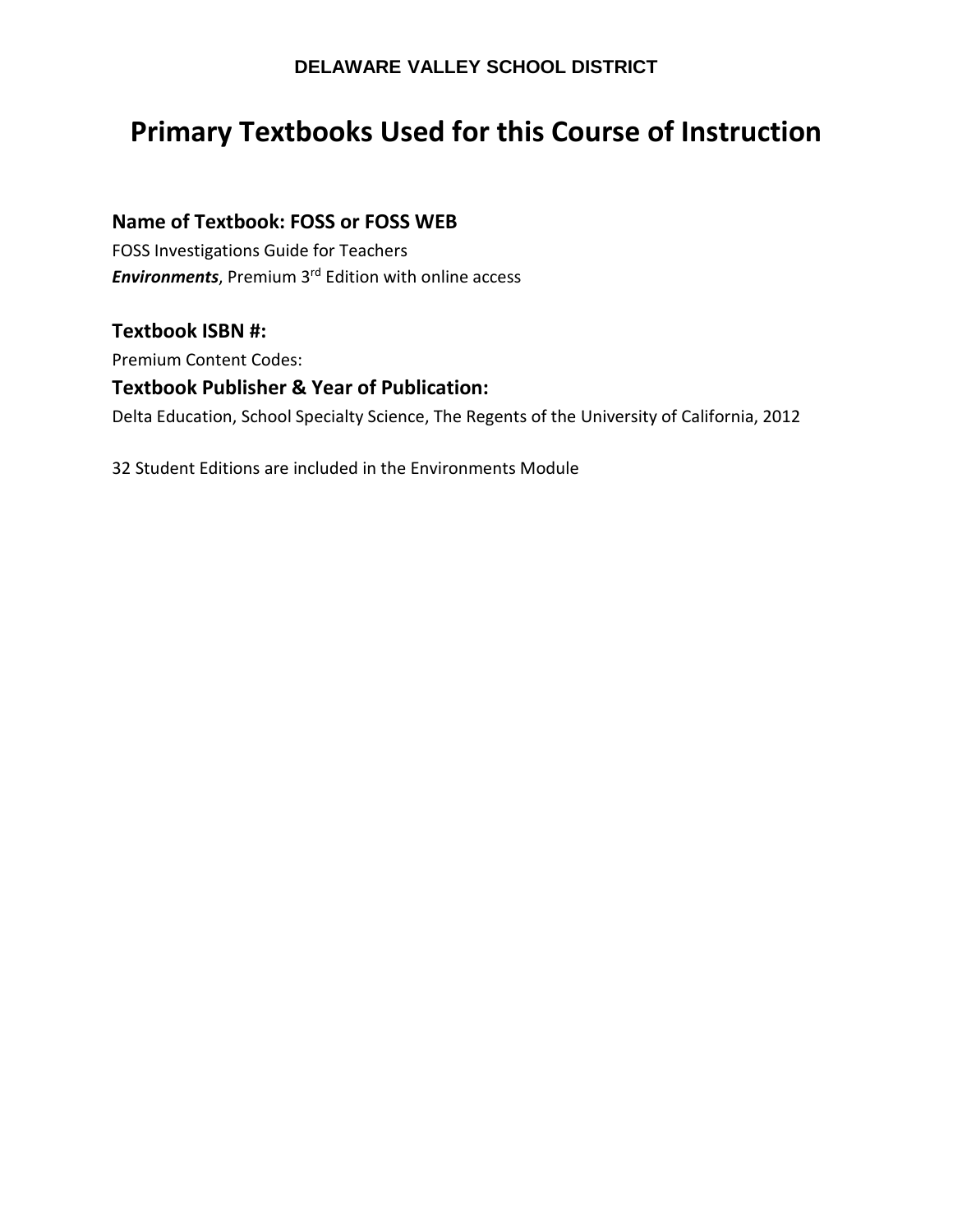# **Primary Textbooks Used for this Course of Instruction**

### **Name of Textbook: FOSS or FOSS WEB**

FOSS Investigations Guide for Teachers *Environments*, Premium 3rd Edition with online access

### **Textbook ISBN #:**

Premium Content Codes:

### **Textbook Publisher & Year of Publication:**

Delta Education, School Specialty Science, The Regents of the University of California, 2012

32 Student Editions are included in the Environments Module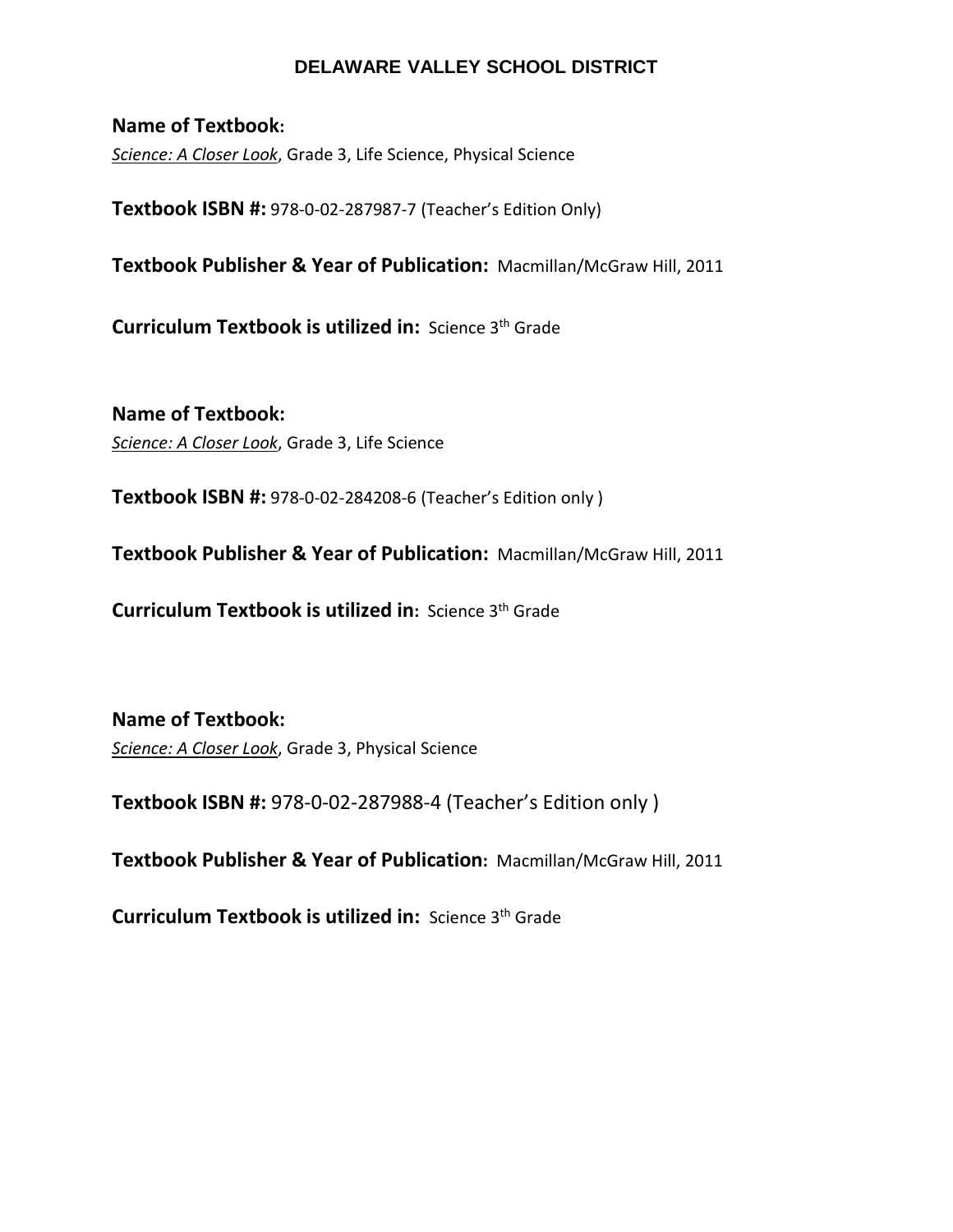### **Name of Textbook:**

*Science: A Closer Look*, Grade 3, Life Science, Physical Science

**Textbook ISBN #:** 978-0-02-287987-7 (Teacher's Edition Only)

**Textbook Publisher & Year of Publication:** Macmillan/McGraw Hill, 2011

**Curriculum Textbook is utilized in:** Science 3<sup>th</sup> Grade

**Name of Textbook:**  *Science: A Closer Look*, Grade 3, Life Science

**Textbook ISBN #:** 978-0-02-284208-6 (Teacher's Edition only )

**Textbook Publisher & Year of Publication:** Macmillan/McGraw Hill, 2011

**Curriculum Textbook is utilized in:** Science 3th Grade

**Name of Textbook:**  *Science: A Closer Look*, Grade 3, Physical Science

**Textbook ISBN #:** 978-0-02-287988-4 (Teacher's Edition only )

**Textbook Publisher & Year of Publication:** Macmillan/McGraw Hill, 2011

**Curriculum Textbook is utilized in:** Science 3<sup>th</sup> Grade